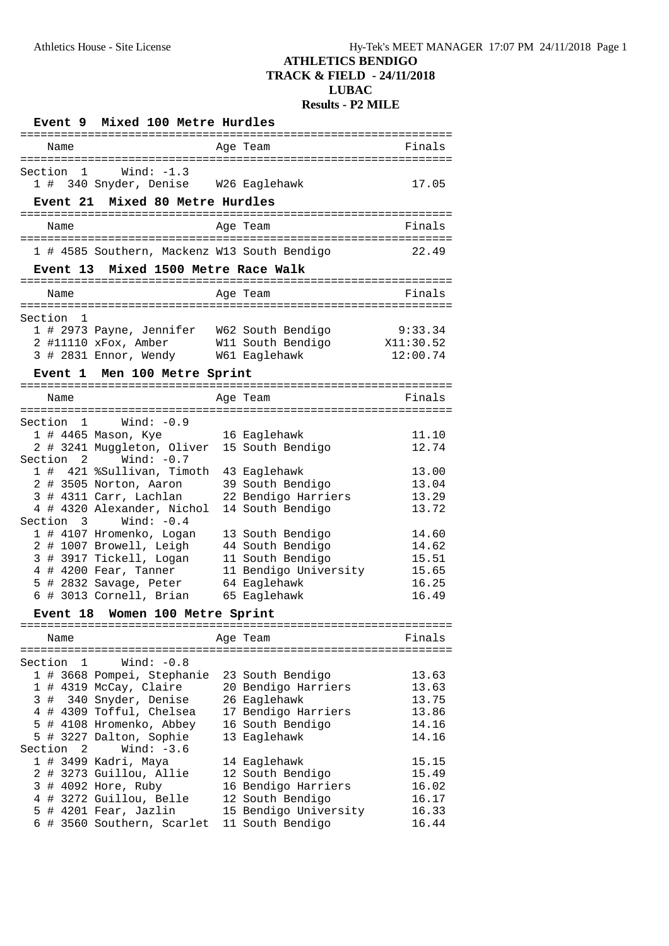|         |                | Event 9 Mixed 100 Metre Hurdles                                                     |                       |           |
|---------|----------------|-------------------------------------------------------------------------------------|-----------------------|-----------|
|         | Name           |                                                                                     | Age Team              | Finals    |
|         | Section<br>1   | Wind: -1.3                                                                          |                       |           |
|         |                | 1 # 340 Snyder, Denise W26 Eaglehawk                                                |                       | 17.05     |
|         |                | Event 21 Mixed 80 Metre Hurdles                                                     |                       |           |
|         |                |                                                                                     |                       |           |
|         | Name           |                                                                                     | Age Team              | Finals    |
|         |                | 1 # 4585 Southern, Mackenz W13 South Bendigo                                        |                       | 22.49     |
|         |                | Event 13 Mixed 1500 Metre Race Walk                                                 |                       |           |
|         |                |                                                                                     |                       |           |
|         | Name           |                                                                                     | Age Team              | Finals    |
| Section | 1              |                                                                                     |                       |           |
|         |                | 1 # 2973 Payne, Jennifer W62 South Bendigo<br>2 #11110 xFox Amber W11 South Bendigo |                       | 9:33.34   |
|         |                | 2 #11110 xFox, Amber                                                                | W11 South Bendigo     | X11:30.52 |
|         |                | 3 # 2831 Ennor, Wendy W61 Eaglehawk                                                 |                       | 12:00.74  |
|         | <b>Event</b> 1 | Men 100 Metre Sprint                                                                |                       |           |
|         | Name           |                                                                                     | Age Team              | Finals    |
|         |                |                                                                                     |                       |           |
|         | Section 1      | Wind: $-0.9$                                                                        |                       |           |
|         |                | 1 # 4465 Mason, Kye                                                                 | 16 Eaglehawk          | 11.10     |
|         |                | 2 # 3241 Muggleton, Oliver                                                          | 15 South Bendigo      | 12.74     |
|         | Section 2      | Wind: $-0.7$<br>1 # 421 %Sullivan, Timoth 43 Eaglehawk                              |                       | 13.00     |
|         |                | 2 # 3505 Norton, Aaron                                                              | 39 South Bendigo      | 13.04     |
|         |                | 3 # 4311 Carr, Lachlan                                                              | 22 Bendigo Harriers   | 13.29     |
|         |                | 4 # 4320 Alexander, Nichol                                                          | 14 South Bendigo      | 13.72     |
|         | Section 3      | Wind: $-0.4$                                                                        |                       |           |
|         |                | 1 # 4107 Hromenko, Logan                                                            | 13 South Bendigo      | 14.60     |
|         |                | 2 # 1007 Browell, Leigh                                                             | 44 South Bendigo      | 14.62     |
|         |                | 3 # 3917 Tickell, Logan                                                             | 11 South Bendigo      | 15.51     |
|         |                | 4 # 4200 Fear, Tanner                                                               | 11 Bendigo University | 15.65     |
|         |                | 5 # 2832 Savage, Peter                                                              | 64 Eaglehawk          | 16.25     |
|         |                | 6 # 3013 Cornell, Brian                                                             | 65 Eaglehawk          | 16.49     |
|         |                | Event 18 Women 100 Metre Sprint                                                     |                       |           |
|         | Name           |                                                                                     | Age Team              | Finals    |
|         |                |                                                                                     |                       |           |
| Section | 1              | Wind: $-0.8$                                                                        |                       |           |
|         |                | 1 # 3668 Pompei, Stephanie                                                          | 23 South Bendigo      | 13.63     |
|         |                | 1 # 4319 McCay, Claire                                                              | 20 Bendigo Harriers   | 13.63     |
|         |                | 3 # 340 Snyder, Denise                                                              | 26 Eaglehawk          | 13.75     |
|         |                | 4 # 4309 Tofful, Chelsea                                                            | 17 Bendigo Harriers   | 13.86     |
|         |                | 5 # 4108 Hromenko, Abbey                                                            | 16 South Bendigo      | 14.16     |
|         |                | 5 # 3227 Dalton, Sophie                                                             | 13 Eaglehawk          | 14.16     |
| Section | 2              | Wind: $-3.6$<br>1 # 3499 Kadri, Maya                                                | 14 Eaglehawk          | 15.15     |
|         |                | 2 # 3273 Guillou, Allie                                                             | 12 South Bendigo      | 15.49     |
|         |                | 3 # 4092 Hore, Ruby                                                                 | 16 Bendigo Harriers   | 16.02     |
|         |                | 4 # 3272 Guillou, Belle                                                             | 12 South Bendigo      | 16.17     |
|         |                | 5 # 4201 Fear, Jazlin                                                               | 15 Bendigo University | 16.33     |
|         |                | 6 # 3560 Southern, Scarlet                                                          | 11 South Bendigo      | 16.44     |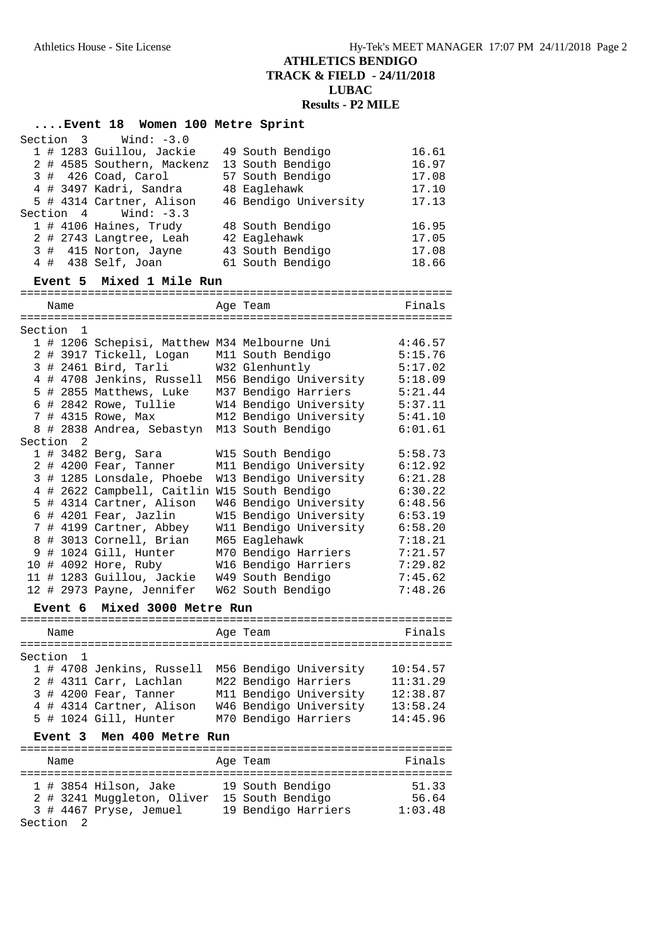# **....Event 18 Women 100 Metre Sprint**

|         | Section 3      | Wind: -3.0                                   |                                                  |          |
|---------|----------------|----------------------------------------------|--------------------------------------------------|----------|
|         |                | 1 # 1283 Guillou, Jackie                     | 49 South Bendigo                                 | 16.61    |
|         |                | 2 # 4585 Southern, Mackenz                   | 13 South Bendigo                                 | 16.97    |
|         |                | $3$ # 426 Coad, Carol                        | 57 South Bendigo                                 | 17.08    |
|         |                | 4 # 3497 Kadri, Sandra                       | 48 Eaglehawk                                     | 17.10    |
|         | Section 4      | 5 # 4314 Cartner, Alison<br>Wind: $-3.3$     | 46 Bendigo University                            | 17.13    |
|         |                | 1 # 4106 Haines, Trudy                       | 48 South Bendigo                                 | 16.95    |
|         |                | 2 # 2743 Langtree, Leah                      | 42 Eaglehawk                                     | 17.05    |
|         |                | 3 # 415 Norton, Jayne                        | 43 South Bendigo                                 | 17.08    |
|         |                | 4 # 438 Self, Joan                           | 61 South Bendigo                                 | 18.66    |
|         | Event 5        | Mixed 1 Mile Run                             |                                                  |          |
|         | Name           |                                              | Age Team                                         | Finals   |
|         |                |                                              |                                                  |          |
| Section | $\overline{1}$ |                                              |                                                  |          |
|         |                | 1 # 1206 Schepisi, Matthew M34 Melbourne Uni |                                                  | 4:46.57  |
|         |                | 2 # 3917 Tickell, Logan                      | M11 South Bendigo                                | 5:15.76  |
|         |                | 3 # 2461 Bird, Tarli                         | W32 Glenhuntly                                   | 5:17.02  |
|         |                | 4 # 4708 Jenkins, Russell                    | M56 Bendigo University                           | 5:18.09  |
|         |                | 5 # 2855 Matthews, Luke                      | M37 Bendigo Harriers                             | 5:21.44  |
|         |                | 6 # 2842 Rowe, Tullie                        | W14 Bendigo University                           | 5:37.11  |
|         |                | 7 # 4315 Rowe, Max                           | M12 Bendigo University                           | 5:41.10  |
|         |                | 8 # 2838 Andrea, Sebastyn                    | M13 South Bendigo                                | 6:01.61  |
| Section | 2              |                                              |                                                  |          |
|         |                | 1 # 3482 Berg, Sara                          | W15 South Bendigo                                | 5:58.73  |
|         |                | 2 # 4200 Fear, Tanner                        | M11 Bendigo University                           | 6:12.92  |
|         |                | 3 # 1285 Lonsdale, Phoebe                    | W13 Bendigo University                           | 6:21.28  |
|         |                | 4 # 2622 Campbell, Caitlin W15 South Bendigo |                                                  | 6:30.22  |
|         |                | 5 # 4314 Cartner, Alison                     | W46 Bendigo University                           | 6:48.56  |
|         |                | 6 # 4201 Fear, Jazlin                        | W15 Bendigo University                           | 6:53.19  |
|         |                | 7 # 4199 Cartner, Abbey                      | W11 Bendigo University                           | 6:58.20  |
|         |                | 8 # 3013 Cornell, Brian                      | M65 Eaglehawk                                    | 7:18.21  |
|         |                | 9 # 1024 Gill, Hunter                        | M70 Bendigo Harriers                             | 7:21.57  |
|         |                | 10 # 4092 Hore, Ruby                         | W16 Bendigo Harriers                             | 7:29.82  |
|         |                | 11 # 1283 Guillou, Jackie                    | W49 South Bendigo                                | 7:45.62  |
|         |                | 12 # 2973 Payne, Jennifer                    | W62 South Bendigo                                | 7:48.26  |
|         | Event 6        | Mixed 3000 Metre Run                         |                                                  |          |
|         | Name           |                                              | Age Team                                         | Finals   |
|         |                |                                              |                                                  |          |
| Section | 1              |                                              |                                                  |          |
|         |                |                                              | 1 # 4708 Jenkins, Russell M56 Bendigo University | 10:54.57 |
|         |                |                                              | 2 # 4311 Carr, Lachlan M22 Bendigo Harriers      | 11:31.29 |
|         |                | 3 # 4200 Fear, Tanner                        | M11 Bendigo University                           | 12:38.87 |
|         |                |                                              | 4 # 4314 Cartner, Alison W46 Bendigo University  | 13:58.24 |
|         |                | 5 # 1024 Gill, Hunter                        | M70 Bendigo Harriers                             | 14:45.96 |
|         |                | Event 3 Men 400 Metre Run                    |                                                  |          |
|         |                |                                              |                                                  |          |
|         | Name           |                                              | Age Team                                         | Finals   |
|         |                | 1 # 3854 Hilson, Jake                        | 19 South Bendigo                                 | 51.33    |
|         |                | 2 # 3241 Muggleton, Oliver 15 South Bendigo  |                                                  | 56.64    |
|         |                | 3 # 4467 Pryse, Jemuel 19 Bendigo Harriers   |                                                  | 1:03.48  |
|         | 2<br>Section   |                                              |                                                  |          |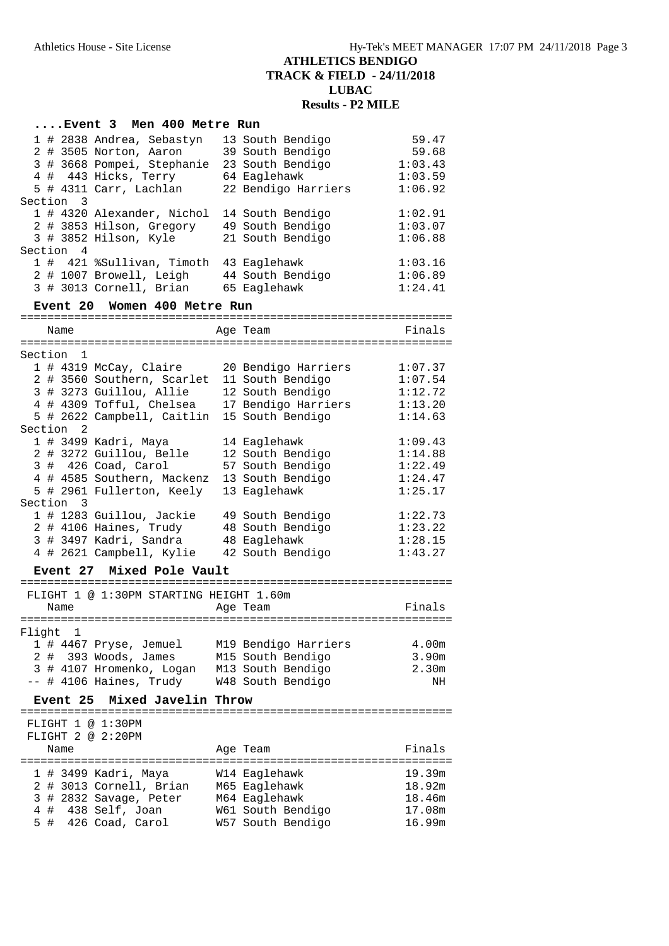## **....Event 3 Men 400 Metre Run**

|  |           | 1 # 2838 Andrea, Sebastyn  | 13 South Bendigo    | 59.47   |
|--|-----------|----------------------------|---------------------|---------|
|  |           | 2 # 3505 Norton, Aaron     | 39 South Bendigo    | 59.68   |
|  |           | 3 # 3668 Pompei, Stephanie | 23 South Bendigo    | 1:03.43 |
|  |           | 4 # 443 Hicks, Terry       | 64 Eaglehawk        | 1:03.59 |
|  |           | 5 # 4311 Carr, Lachlan     | 22 Bendigo Harriers | 1:06.92 |
|  | Section 3 |                            |                     |         |
|  |           | 1 # 4320 Alexander, Nichol | 14 South Bendigo    | 1:02.91 |
|  |           | 2 # 3853 Hilson, Gregory   | 49 South Bendigo    | 1:03.07 |
|  |           | 3 # 3852 Hilson, Kyle      | 21 South Bendigo    | 1:06.88 |
|  | Section 4 |                            |                     |         |
|  |           | 1 # 421 %Sullivan, Timoth  | 43 Eaglehawk        | 1:03.16 |
|  |           | 2 # 1007 Browell, Leigh    | 44 South Bendigo    | 1:06.89 |
|  |           | 3 # 3013 Cornell, Brian    | 65 Eaglehawk        | 1:24.41 |

### **Event 20 Women 400 Metre Run**

| Name   |  |                          |                                             |  | Age Team                                     | Finals  |  |
|--------|--|--------------------------|---------------------------------------------|--|----------------------------------------------|---------|--|
|        |  |                          |                                             |  |                                              |         |  |
|        |  | Section 1                |                                             |  |                                              |         |  |
|        |  |                          | 1 # 4319 McCay, Claire                      |  | 20 Bendigo Harriers                          | 1:07.37 |  |
|        |  |                          | 2 # 3560 Southern, Scarlet 11 South Bendigo |  |                                              | 1:07.54 |  |
|        |  |                          | 3 # 3273 Guillou, Allie                     |  | 12 South Bendigo                             | 1:12.72 |  |
|        |  |                          |                                             |  | 4 # 4309 Tofful, Chelsea 17 Bendigo Harriers | 1:13.20 |  |
|        |  |                          | 5 # 2622 Campbell, Caitlin 15 South Bendigo |  |                                              | 1:14.63 |  |
|        |  | Section <sub>2</sub>     |                                             |  |                                              |         |  |
|        |  |                          | 1 # 3499 Kadri, Maya                        |  | 14 Eaglehawk                                 | 1:09.43 |  |
|        |  |                          | 2 # 3272 Guillou, Belle                     |  | 12 South Bendigo                             | 1:14.88 |  |
|        |  |                          | 3 # 426 Coad, Carol                         |  | 57 South Bendigo                             | 1:22.49 |  |
|        |  |                          | 4 # 4585 Southern, Mackenz                  |  | 13 South Bendigo                             | 1:24.47 |  |
|        |  |                          | 5 # 2961 Fullerton, Keely                   |  | 13 Eaglehawk                                 | 1:25.17 |  |
|        |  | Section 3                |                                             |  |                                              |         |  |
|        |  |                          | 1 # 1283 Guillou, Jackie                    |  | 49 South Bendigo                             | 1:22.73 |  |
|        |  |                          | 2 # 4106 Haines, Trudy                      |  | 48 South Bendigo                             | 1:23.22 |  |
|        |  |                          | 3 # 3497 Kadri, Sandra                      |  | 48 Eaglehawk                                 | 1:28.15 |  |
|        |  |                          | 4 # 2621 Campbell, Kylie                    |  | 42 South Bendigo                             | 1:43.27 |  |
|        |  | Event 27                 | Mixed Pole Vault                            |  |                                              |         |  |
|        |  |                          |                                             |  |                                              |         |  |
|        |  |                          | FLIGHT 1 @ 1:30PM STARTING HEIGHT 1.60m     |  |                                              |         |  |
|        |  | Name                     |                                             |  | Age Team                                     | Finals  |  |
|        |  |                          |                                             |  |                                              |         |  |
| Flight |  | $\overline{\phantom{0}}$ |                                             |  |                                              |         |  |
|        |  |                          | 1 # 4467 Pryse, Jemuel                      |  | M19 Bendigo Harriers                         | 4.00m   |  |
|        |  |                          | 2 # 393 Woods, James                        |  | M15 South Bendigo                            | 3.90m   |  |

## 3 # 4107 Hromenko, Logan M13 South Bendigo 2.30m -- # 4106 Haines, Trudy W48 South Bendigo NH

## **Event 25 Mixed Javelin Throw**

================================================================ FLIGHT 1 @ 1:30PM FLIGHT 2 @ 2:20PM Name Research Manners Age Team and Trinals ================================================================ 1 # 3499 Kadri, Maya W14 Eaglehawk 19.39m 2 # 3013 Cornell, Brian M65 Eaglehawk 18.92m 3 # 2832 Savage, Peter M64 Eaglehawk 18.46m 4 # 438 Self, Joan W61 South Bendigo 17.08m 5 # 426 Coad, Carol W57 South Bendigo 16.99m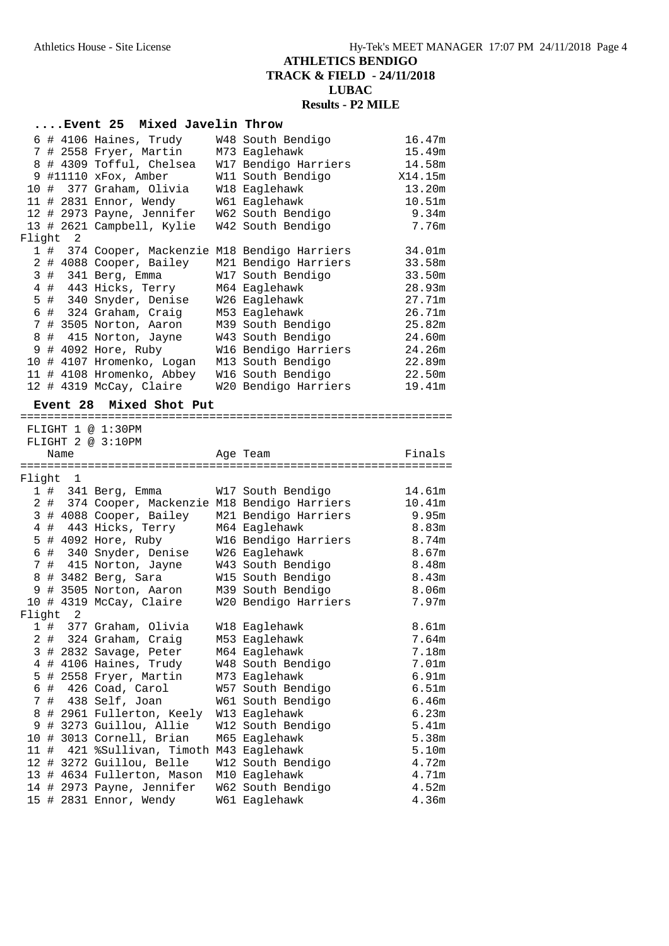|        |       |                 | Event 25 Mixed Javelin Throw                    |                                           |                   |
|--------|-------|-----------------|-------------------------------------------------|-------------------------------------------|-------------------|
|        |       |                 | 6 # 4106 Haines, Trudy                          | W48 South Bendigo                         | 16.47m            |
|        |       |                 | 7 # 2558 Fryer, Martin                          | M73 Eaglehawk                             | 15.49m            |
|        |       |                 | 8 # 4309 Tofful, Chelsea                        | W17 Bendigo Harriers                      | 14.58m            |
|        |       |                 | 9 #11110 xFox, Amber                            | W11 South Bendigo                         | X14.15m           |
|        |       |                 | 10 # 377 Graham, Olivia                         | W18 Eaglehawk                             | 13.20m            |
|        |       |                 | 11 # 2831 Ennor, Wendy                          | W61 Eaglehawk                             | 10.51m            |
|        |       |                 | 12 # 2973 Payne, Jennifer                       | W62 South Bendigo                         | 9.34m             |
|        |       |                 | 13 # 2621 Campbell, Kylie                       | W42 South Bendigo                         | 7.76m             |
| Flight |       | 2               |                                                 |                                           |                   |
|        | 1 #   |                 | 374 Cooper, Mackenzie M18 Bendigo Harriers      |                                           | 34.01m            |
|        |       |                 | 2 # 4088 Cooper, Bailey                         | M21 Bendigo Harriers                      | 33.58m            |
|        |       |                 | 3 # 341 Berg, Emma                              | W17 South Bendigo                         | 33.50m            |
|        |       |                 | 4 # 443 Hicks, Terry                            | M64 Eaglehawk                             | 28.93m            |
|        |       |                 | 5 # 340 Snyder, Denise                          | W26 Eaglehawk                             | 27.71m            |
|        |       |                 | 6 # 324 Graham, Craig                           | M53 Eaglehawk                             | 26.71m            |
|        |       |                 | 7 # 3505 Norton, Aaron                          | M39 South Bendigo                         | 25.82m            |
| 8      |       |                 | # 415 Norton, Jayne                             | W43 South Bendigo                         | 24.60m            |
|        |       |                 | 9 # 4092 Hore, Ruby                             | W16 Bendigo Harriers                      | 24.26m            |
|        |       |                 | 10 # 4107 Hromenko, Logan                       | M13 South Bendigo                         | 22.89m            |
|        |       |                 | 11 # 4108 Hromenko, Abbey                       | W16 South Bendigo                         | 22.50m            |
|        |       |                 | 12 # 4319 McCay, Claire                         | W20 Bendigo Harriers                      | 19.41m            |
|        |       | <b>Event 28</b> | Mixed Shot Put                                  |                                           |                   |
|        |       |                 |                                                 |                                           |                   |
|        |       |                 | FLIGHT 1 @ 1:30PM                               |                                           |                   |
|        |       |                 | FLIGHT 2 @ 3:10PM                               |                                           |                   |
|        |       | Name            |                                                 | Age Team                                  | Finals            |
|        |       |                 |                                                 |                                           |                   |
| Flight |       | - 1             |                                                 |                                           |                   |
|        | 1#    |                 | 341 Berg, Emma                                  | W17 South Bendigo                         | 14.61m            |
|        | 2 #   |                 | 374 Cooper, Mackenzie M18 Bendigo Harriers      |                                           | 10.41m            |
|        |       |                 | 3 # 4088 Cooper, Bailey                         | M21 Bendigo Harriers                      | 9.95m             |
|        |       |                 | 4 # 443 Hicks, Terry                            | M64 Eaglehawk                             | 8.83m             |
|        |       |                 | 5 # 4092 Hore, Ruby                             | W16 Bendigo Harriers                      | 8.74m             |
| 6      |       |                 | # 340 Snyder, Denise                            | W26 Eaglehawk                             | 8.67m             |
|        |       |                 | 7 # 415 Norton, Jayne                           | W43 South Bendigo                         | 8.48m             |
|        |       |                 | 8 # 3482 Berg, Sara                             | W15 South Bendigo                         | 8.43m             |
| 9      |       |                 | # 3505 Norton, Aaron<br>10 # 4319 McCay, Claire | M39 South Bendigo<br>W20 Bendigo Harriers | 8.06m<br>7.97m    |
| Flight |       | 2               |                                                 |                                           |                   |
| 1      | #     |                 | 377 Graham, Olivia                              | W18 Eaglehawk                             | 8.61 <sub>m</sub> |
|        | $2$ # |                 | 324 Graham, Craig                               | M53 Eaglehawk                             | 7.64m             |
|        |       |                 | 3 # 2832 Savage, Peter                          | M64 Eaglehawk                             | 7.18m             |
| 4      |       |                 | # 4106 Haines, Trudy                            | W48 South Bendigo                         | 7.01m             |
| 5      | #     |                 | 2558 Fryer, Martin                              | M73 Eaglehawk                             | 6.91m             |
| 6      | #     |                 | 426 Coad, Carol                                 | W57 South Bendigo                         | 6.51m             |
| 7      | #     |                 | 438 Self, Joan                                  | W61 South Bendigo                         | 6.46m             |
| 8      |       |                 | # 2961 Fullerton, Keely                         | W13 Eaglehawk                             | 6.23m             |
| 9      |       |                 | # 3273 Guillou, Allie                           | W12 South Bendigo                         | 5.41m             |
| 10     | #     |                 | 3013 Cornell, Brian                             | M65 Eaglehawk                             | 5.38m             |
| 11#    |       |                 | 421 %Sullivan, Timoth M43 Eaglehawk             |                                           | 5.10m             |
|        |       |                 | 12 # 3272 Guillou, Belle                        | W12 South Bendigo                         | 4.72m             |
|        |       |                 | 13 # 4634 Fullerton, Mason                      | M10 Eaglehawk                             | 4.71m             |
|        |       |                 | 14 # 2973 Payne, Jennifer                       | W62 South Bendigo                         | 4.52m             |
|        |       |                 | 15 # 2831 Ennor, Wendy                          | W61 Eaglehawk                             | 4.36m             |
|        |       |                 |                                                 |                                           |                   |